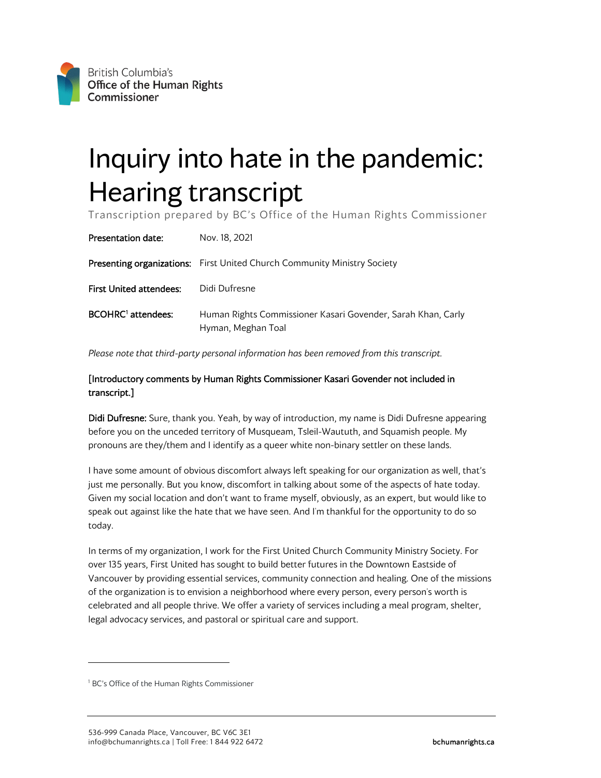## Inquiry into hate in the pandemic: Hearing transcript

Transcription prepared by BC's Office of the Human Rights Commissioner

| Presentation date:             | Nov. 18, 2021                                                                      |
|--------------------------------|------------------------------------------------------------------------------------|
|                                | <b>Presenting organizations:</b> First United Church Community Ministry Society    |
| <b>First United attendees:</b> | Didi Dufresne                                                                      |
| BCOHRC <sup>1</sup> attendees: | Human Rights Commissioner Kasari Govender, Sarah Khan, Carly<br>Hyman, Meghan Toal |

*Please note that third-party personal information has been removed from this transcript.* 

## [Introductory comments by Human Rights Commissioner Kasari Govender not included in transcript.]

Didi Dufresne: Sure, thank you. Yeah, by way of introduction, my name is Didi Dufresne appearing before you on the unceded territory of Musqueam, Tsleil-Waututh, and Squamish people. My pronouns are they/them and I identify as a queer white non-binary settler on these lands.

I have some amount of obvious discomfort always left speaking for our organization as well, that's just me personally. But you know, discomfort in talking about some of the aspects of hate today. Given my social location and don't want to frame myself, obviously, as an expert, but would like to speak out against like the hate that we have seen. And I'm thankful for the opportunity to do so today.

In terms of my organization, I work for the First United Church Community Ministry Society. For over 135 years, First United has sought to build better futures in the Downtown Eastside of Vancouver by providing essential services, community connection and healing. One of the missions of the organization is to envision a neighborhood where every person, every person's worth is celebrated and all people thrive. We offer a variety of services including a meal program, shelter, legal advocacy services, and pastoral or spiritual care and support.

<span id="page-0-0"></span><sup>&</sup>lt;sup>1</sup> BC's Office of the Human Rights Commissioner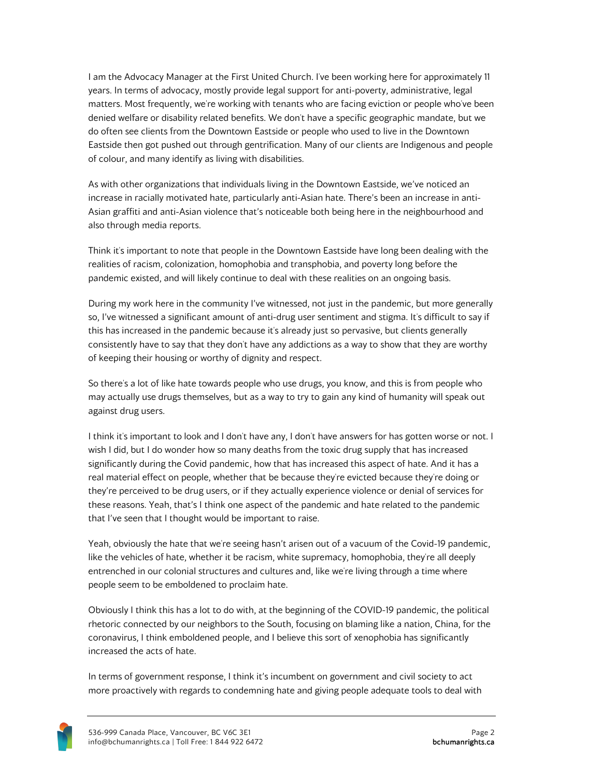I am the Advocacy Manager at the First United Church. I've been working here for approximately 11 years. In terms of advocacy, mostly provide legal support for anti-poverty, administrative, legal matters. Most frequently, we're working with tenants who are facing eviction or people who've been denied welfare or disability related benefits. We don't have a specific geographic mandate, but we do often see clients from the Downtown Eastside or people who used to live in the Downtown Eastside then got pushed out through gentrification. Many of our clients are Indigenous and people of colour, and many identify as living with disabilities.

As with other organizations that individuals living in the Downtown Eastside, we've noticed an increase in racially motivated hate, particularly anti-Asian hate. There's been an increase in anti-Asian graffiti and anti-Asian violence that's noticeable both being here in the neighbourhood and also through media reports.

Think it's important to note that people in the Downtown Eastside have long been dealing with the realities of racism, colonization, homophobia and transphobia, and poverty long before the pandemic existed, and will likely continue to deal with these realities on an ongoing basis.

During my work here in the community I've witnessed, not just in the pandemic, but more generally so, I've witnessed a significant amount of anti-drug user sentiment and stigma. It's difficult to say if this has increased in the pandemic because it's already just so pervasive, but clients generally consistently have to say that they don't have any addictions as a way to show that they are worthy of keeping their housing or worthy of dignity and respect.

So there's a lot of like hate towards people who use drugs, you know, and this is from people who may actually use drugs themselves, but as a way to try to gain any kind of humanity will speak out against drug users.

I think it's important to look and I don't have any, I don't have answers for has gotten worse or not. I wish I did, but I do wonder how so many deaths from the toxic drug supply that has increased significantly during the Covid pandemic, how that has increased this aspect of hate. And it has a real material effect on people, whether that be because they're evicted because they're doing or they're perceived to be drug users, or if they actually experience violence or denial of services for these reasons. Yeah, that's I think one aspect of the pandemic and hate related to the pandemic that I've seen that I thought would be important to raise.

Yeah, obviously the hate that we're seeing hasn't arisen out of a vacuum of the Covid-19 pandemic, like the vehicles of hate, whether it be racism, white supremacy, homophobia, they're all deeply entrenched in our colonial structures and cultures and, like we're living through a time where people seem to be emboldened to proclaim hate.

Obviously I think this has a lot to do with, at the beginning of the COVID-19 pandemic, the political rhetoric connected by our neighbors to the South, focusing on blaming like a nation, China, for the coronavirus, I think emboldened people, and I believe this sort of xenophobia has significantly increased the acts of hate.

In terms of government response, I think it's incumbent on government and civil society to act more proactively with regards to condemning hate and giving people adequate tools to deal with

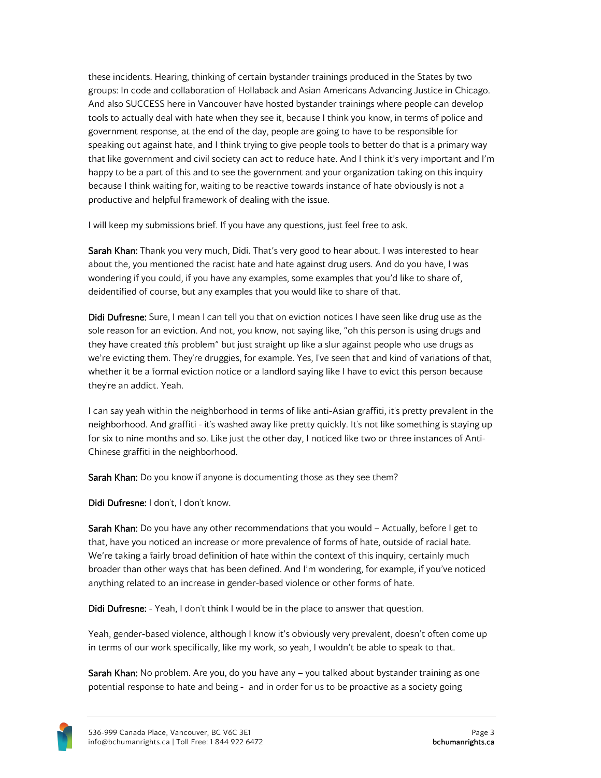these incidents. Hearing, thinking of certain bystander trainings produced in the States by two groups: In code and collaboration of Hollaback and Asian Americans Advancing Justice in Chicago. And also SUCCESS here in Vancouver have hosted bystander trainings where people can develop tools to actually deal with hate when they see it, because I think you know, in terms of police and government response, at the end of the day, people are going to have to be responsible for speaking out against hate, and I think trying to give people tools to better do that is a primary way that like government and civil society can act to reduce hate. And I think it's very important and I'm happy to be a part of this and to see the government and your organization taking on this inquiry because I think waiting for, waiting to be reactive towards instance of hate obviously is not a productive and helpful framework of dealing with the issue.

I will keep my submissions brief. If you have any questions, just feel free to ask.

Sarah Khan: Thank you very much, Didi. That's very good to hear about. I was interested to hear about the, you mentioned the racist hate and hate against drug users. And do you have, I was wondering if you could, if you have any examples, some examples that you'd like to share of, deidentified of course, but any examples that you would like to share of that.

Didi Dufresne: Sure, I mean I can tell you that on eviction notices I have seen like drug use as the sole reason for an eviction. And not, you know, not saying like, "oh this person is using drugs and they have created *this* problem" but just straight up like a slur against people who use drugs as we're evicting them. They're druggies, for example. Yes, I've seen that and kind of variations of that, whether it be a formal eviction notice or a landlord saying like I have to evict this person because they're an addict. Yeah.

I can say yeah within the neighborhood in terms of like anti-Asian graffiti, it's pretty prevalent in the neighborhood. And graffiti - it's washed away like pretty quickly. It's not like something is staying up for six to nine months and so. Like just the other day, I noticed like two or three instances of Anti-Chinese graffiti in the neighborhood.

Sarah Khan: Do you know if anyone is documenting those as they see them?

Didi Dufresne: I don't, I don't know.

Sarah Khan: Do you have any other recommendations that you would - Actually, before I get to that, have you noticed an increase or more prevalence of forms of hate, outside of racial hate. We're taking a fairly broad definition of hate within the context of this inquiry, certainly much broader than other ways that has been defined. And I'm wondering, for example, if you've noticed anything related to an increase in gender-based violence or other forms of hate.

Didi Dufresne: - Yeah, I don't think I would be in the place to answer that question.

Yeah, gender-based violence, although I know it's obviously very prevalent, doesn't often come up in terms of our work specifically, like my work, so yeah, I wouldn't be able to speak to that.

Sarah Khan: No problem. Are you, do you have any – you talked about bystander training as one potential response to hate and being - and in order for us to be proactive as a society going

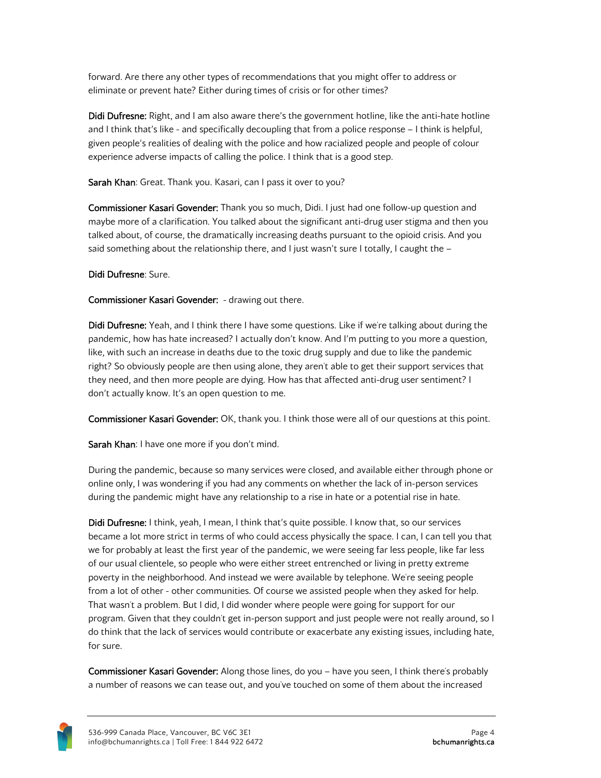forward. Are there any other types of recommendations that you might offer to address or eliminate or prevent hate? Either during times of crisis or for other times?

Didi Dufresne: Right, and I am also aware there's the government hotline, like the anti-hate hotline and I think that's like - and specifically decoupling that from a police response – I think is helpful, given people's realities of dealing with the police and how racialized people and people of colour experience adverse impacts of calling the police. I think that is a good step.

Sarah Khan: Great. Thank you. Kasari, can I pass it over to you?

Commissioner Kasari Govender: Thank you so much, Didi. I just had one follow-up question and maybe more of a clarification. You talked about the significant anti-drug user stigma and then you talked about, of course, the dramatically increasing deaths pursuant to the opioid crisis. And you said something about the relationship there, and I just wasn't sure I totally, I caught the -

Didi Dufresne: Sure.

Commissioner Kasari Govender: - drawing out there.

Didi Dufresne: Yeah, and I think there I have some questions. Like if we're talking about during the pandemic, how has hate increased? I actually don't know. And I'm putting to you more a question, like, with such an increase in deaths due to the toxic drug supply and due to like the pandemic right? So obviously people are then using alone, they aren't able to get their support services that they need, and then more people are dying. How has that affected anti-drug user sentiment? I don't actually know. It's an open question to me.

**Commissioner Kasari Govender:** OK, thank you. I think those were all of our questions at this point.

Sarah Khan: I have one more if you don't mind.

During the pandemic, because so many services were closed, and available either through phone or online only, I was wondering if you had any comments on whether the lack of in-person services during the pandemic might have any relationship to a rise in hate or a potential rise in hate.

Didi Dufresne: I think, yeah, I mean, I think that's quite possible. I know that, so our services became a lot more strict in terms of who could access physically the space. I can, I can tell you that we for probably at least the first year of the pandemic, we were seeing far less people, like far less of our usual clientele, so people who were either street entrenched or living in pretty extreme poverty in the neighborhood. And instead we were available by telephone. We're seeing people from a lot of other - other communities. Of course we assisted people when they asked for help. That wasn't a problem. But I did, I did wonder where people were going for support for our program. Given that they couldn't get in-person support and just people were not really around, so I do think that the lack of services would contribute or exacerbate any existing issues, including hate, for sure.

Commissioner Kasari Govender: Along those lines, do you – have you seen, I think there's probably a number of reasons we can tease out, and you've touched on some of them about the increased